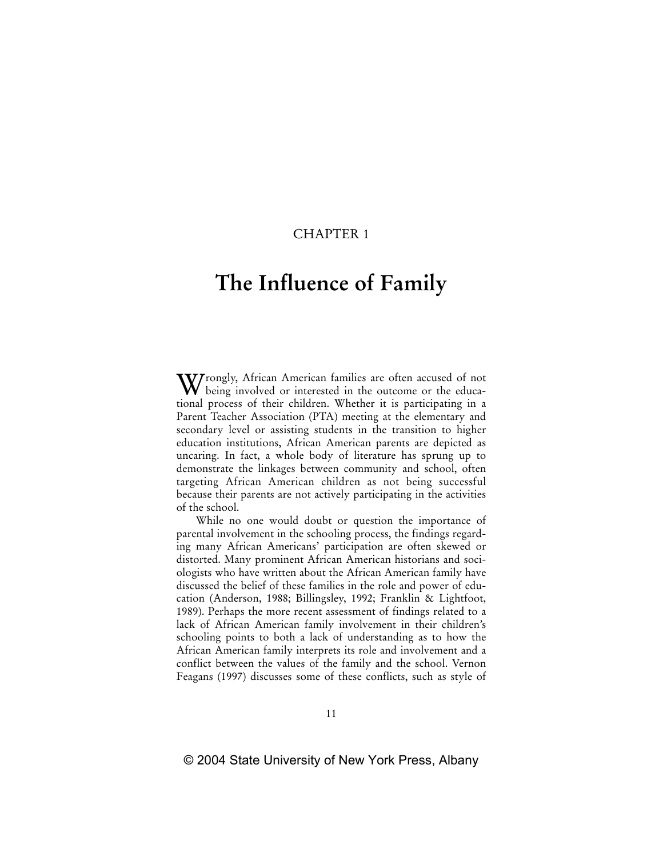# CHAPTER 1

# **The Influence of Family**

Wrongly, African American families are often accused of not<br>being involved or interested in the outcome or the educational process of their children. Whether it is participating in a Parent Teacher Association (PTA) meeting at the elementary and secondary level or assisting students in the transition to higher education institutions, African American parents are depicted as uncaring. In fact, a whole body of literature has sprung up to demonstrate the linkages between community and school, often targeting African American children as not being successful because their parents are not actively participating in the activities of the school.

While no one would doubt or question the importance of parental involvement in the schooling process, the findings regarding many African Americans' participation are often skewed or distorted. Many prominent African American historians and sociologists who have written about the African American family have discussed the belief of these families in the role and power of education (Anderson, 1988; Billingsley, 1992; Franklin & Lightfoot, 1989). Perhaps the more recent assessment of findings related to a lack of African American family involvement in their children's schooling points to both a lack of understanding as to how the African American family interprets its role and involvement and a conflict between the values of the family and the school. Vernon Feagans (1997) discusses some of these conflicts, such as style of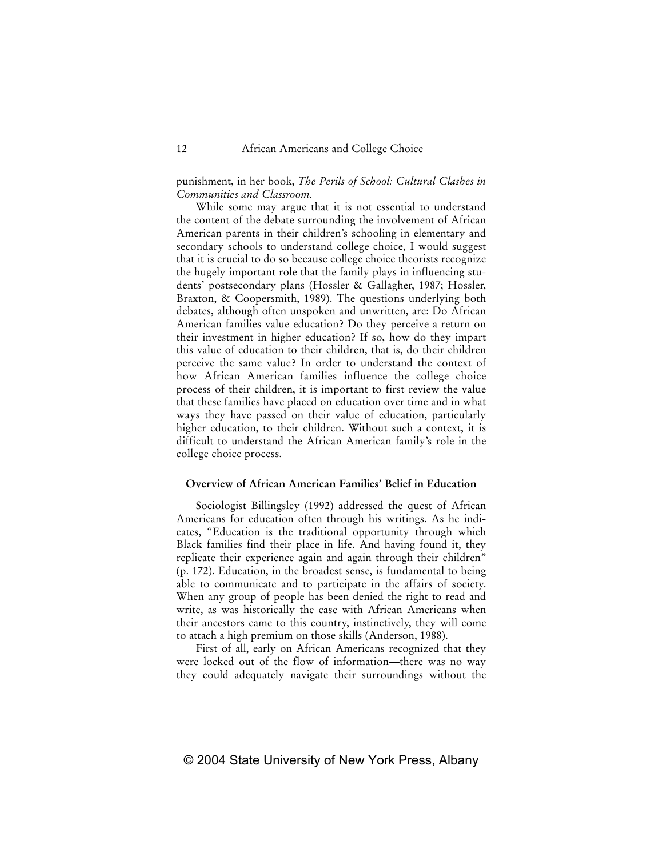punishment, in her book, *The Perils of School: Cultural Clashes in Communities and Classroom.*

While some may argue that it is not essential to understand the content of the debate surrounding the involvement of African American parents in their children's schooling in elementary and secondary schools to understand college choice, I would suggest that it is crucial to do so because college choice theorists recognize the hugely important role that the family plays in influencing students' postsecondary plans (Hossler & Gallagher, 1987; Hossler, Braxton, & Coopersmith, 1989). The questions underlying both debates, although often unspoken and unwritten, are: Do African American families value education? Do they perceive a return on their investment in higher education? If so, how do they impart this value of education to their children, that is, do their children perceive the same value? In order to understand the context of how African American families influence the college choice process of their children, it is important to first review the value that these families have placed on education over time and in what ways they have passed on their value of education, particularly higher education, to their children. Without such a context, it is difficult to understand the African American family's role in the college choice process.

#### **Overview of African American Families' Belief in Education**

Sociologist Billingsley (1992) addressed the quest of African Americans for education often through his writings. As he indicates, "Education is the traditional opportunity through which Black families find their place in life. And having found it, they replicate their experience again and again through their children" (p. 172). Education, in the broadest sense, is fundamental to being able to communicate and to participate in the affairs of society. When any group of people has been denied the right to read and write, as was historically the case with African Americans when their ancestors came to this country, instinctively, they will come to attach a high premium on those skills (Anderson, 1988).

First of all, early on African Americans recognized that they were locked out of the flow of information—there was no way they could adequately navigate their surroundings without the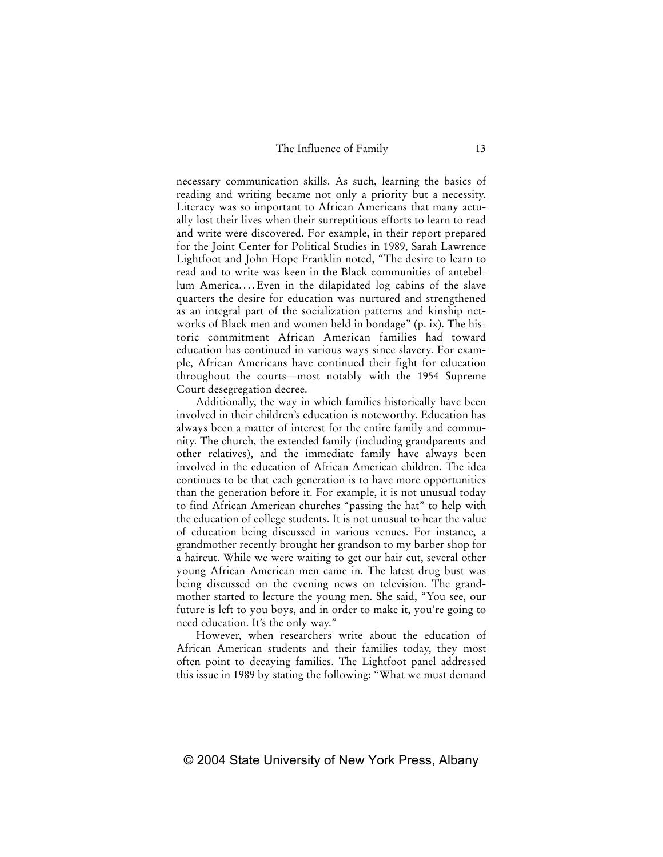necessary communication skills. As such, learning the basics of reading and writing became not only a priority but a necessity. Literacy was so important to African Americans that many actually lost their lives when their surreptitious efforts to learn to read and write were discovered. For example, in their report prepared for the Joint Center for Political Studies in 1989, Sarah Lawrence Lightfoot and John Hope Franklin noted, "The desire to learn to read and to write was keen in the Black communities of antebellum America....Even in the dilapidated log cabins of the slave quarters the desire for education was nurtured and strengthened as an integral part of the socialization patterns and kinship networks of Black men and women held in bondage" (p. ix). The historic commitment African American families had toward education has continued in various ways since slavery. For example, African Americans have continued their fight for education throughout the courts—most notably with the 1954 Supreme Court desegregation decree.

Additionally, the way in which families historically have been involved in their children's education is noteworthy. Education has always been a matter of interest for the entire family and community. The church, the extended family (including grandparents and other relatives), and the immediate family have always been involved in the education of African American children. The idea continues to be that each generation is to have more opportunities than the generation before it. For example, it is not unusual today to find African American churches "passing the hat" to help with the education of college students. It is not unusual to hear the value of education being discussed in various venues. For instance, a grandmother recently brought her grandson to my barber shop for a haircut. While we were waiting to get our hair cut, several other young African American men came in. The latest drug bust was being discussed on the evening news on television. The grandmother started to lecture the young men. She said, "You see, our future is left to you boys, and in order to make it, you're going to need education. It's the only way."

However, when researchers write about the education of African American students and their families today, they most often point to decaying families. The Lightfoot panel addressed this issue in 1989 by stating the following: "What we must demand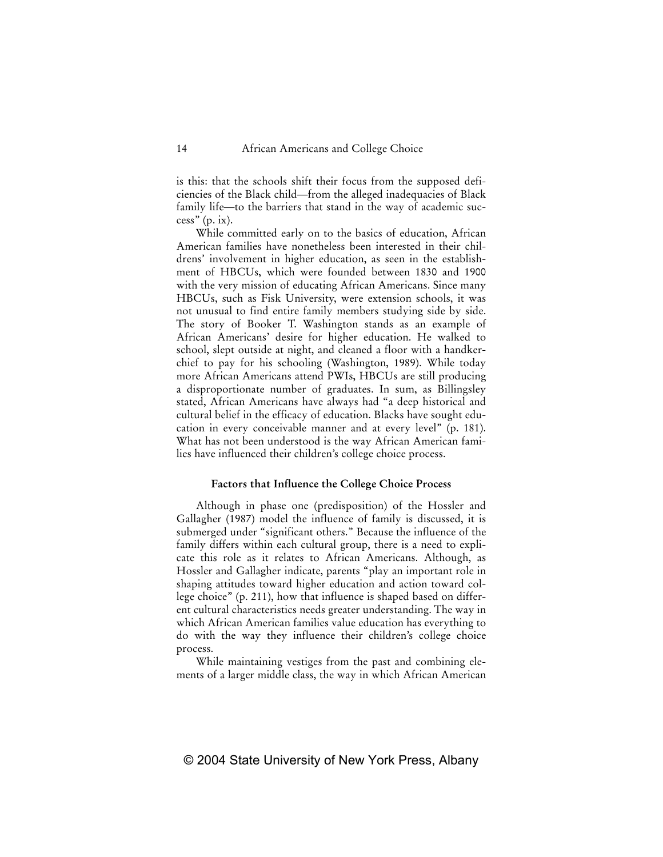is this: that the schools shift their focus from the supposed deficiencies of the Black child—from the alleged inadequacies of Black family life—to the barriers that stand in the way of academic suc $cess<sup>*</sup>$  (p. ix).

While committed early on to the basics of education, African American families have nonetheless been interested in their childrens' involvement in higher education, as seen in the establishment of HBCUs, which were founded between 1830 and 1900 with the very mission of educating African Americans. Since many HBCUs, such as Fisk University, were extension schools, it was not unusual to find entire family members studying side by side. The story of Booker T. Washington stands as an example of African Americans' desire for higher education. He walked to school, slept outside at night, and cleaned a floor with a handkerchief to pay for his schooling (Washington, 1989). While today more African Americans attend PWIs, HBCUs are still producing a disproportionate number of graduates. In sum, as Billingsley stated, African Americans have always had "a deep historical and cultural belief in the efficacy of education. Blacks have sought education in every conceivable manner and at every level" (p. 181). What has not been understood is the way African American families have influenced their children's college choice process.

### **Factors that Influence the College Choice Process**

Although in phase one (predisposition) of the Hossler and Gallagher (1987) model the influence of family is discussed, it is submerged under "significant others." Because the influence of the family differs within each cultural group, there is a need to explicate this role as it relates to African Americans. Although, as Hossler and Gallagher indicate, parents "play an important role in shaping attitudes toward higher education and action toward college choice" (p. 211), how that influence is shaped based on different cultural characteristics needs greater understanding. The way in which African American families value education has everything to do with the way they influence their children's college choice process.

While maintaining vestiges from the past and combining elements of a larger middle class, the way in which African American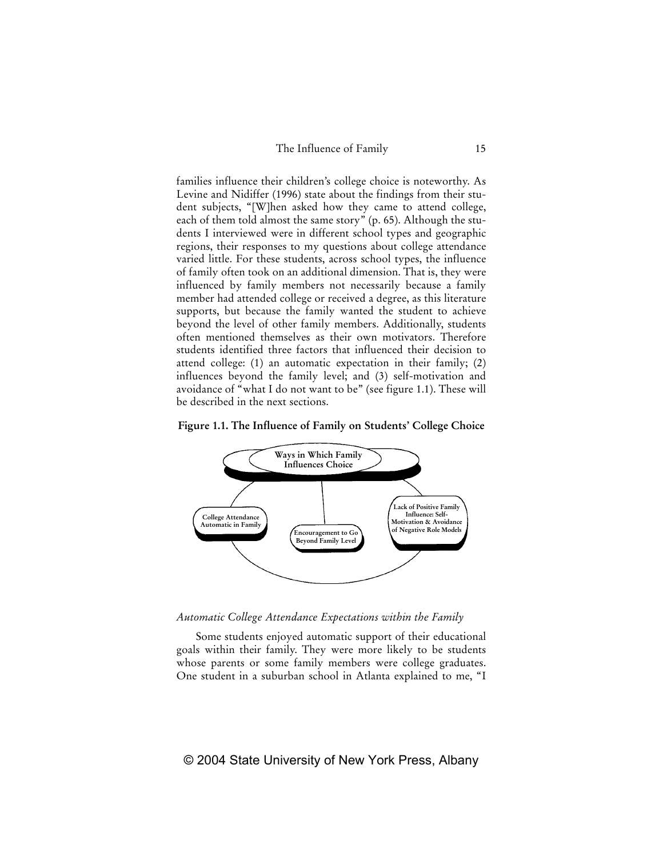families influence their children's college choice is noteworthy. As Levine and Nidiffer (1996) state about the findings from their student subjects, "[W]hen asked how they came to attend college, each of them told almost the same story" (p. 65). Although the students I interviewed were in different school types and geographic regions, their responses to my questions about college attendance varied little. For these students, across school types, the influence of family often took on an additional dimension. That is, they were influenced by family members not necessarily because a family member had attended college or received a degree, as this literature supports, but because the family wanted the student to achieve beyond the level of other family members. Additionally, students often mentioned themselves as their own motivators. Therefore students identified three factors that influenced their decision to attend college: (1) an automatic expectation in their family; (2) influences beyond the family level; and (3) self-motivation and avoidance of "what I do not want to be" (see figure 1.1). These will be described in the next sections.





#### *Automatic College Attendance Expectations within the Family*

Some students enjoyed automatic support of their educational goals within their family. They were more likely to be students whose parents or some family members were college graduates. One student in a suburban school in Atlanta explained to me, "I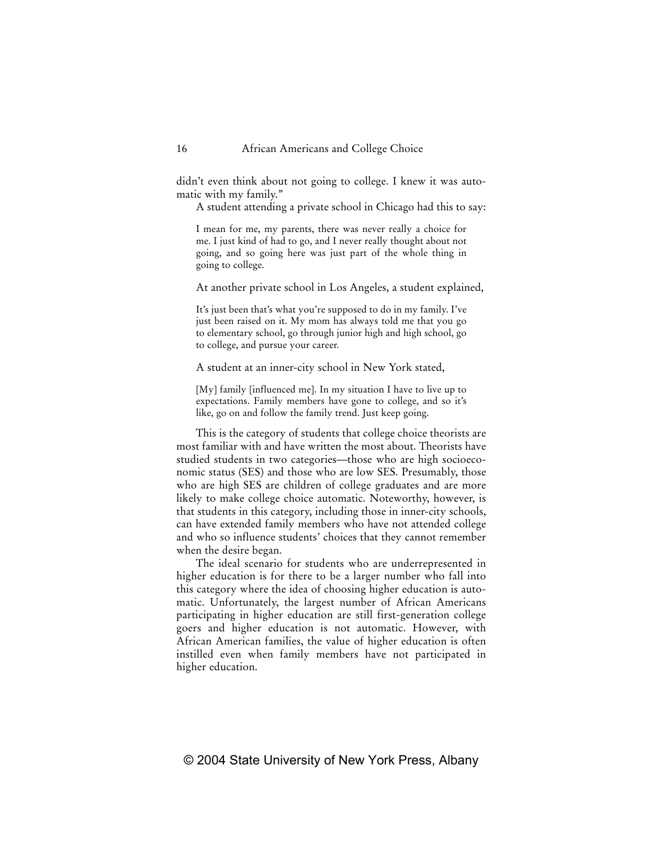didn't even think about not going to college. I knew it was automatic with my family."

A student attending a private school in Chicago had this to say:

I mean for me, my parents, there was never really a choice for me. I just kind of had to go, and I never really thought about not going, and so going here was just part of the whole thing in going to college.

At another private school in Los Angeles, a student explained,

It's just been that's what you're supposed to do in my family. I've just been raised on it. My mom has always told me that you go to elementary school, go through junior high and high school, go to college, and pursue your career.

A student at an inner-city school in New York stated,

[My] family [influenced me]. In my situation I have to live up to expectations. Family members have gone to college, and so it's like, go on and follow the family trend. Just keep going.

This is the category of students that college choice theorists are most familiar with and have written the most about. Theorists have studied students in two categories—those who are high socioeconomic status (SES) and those who are low SES. Presumably, those who are high SES are children of college graduates and are more likely to make college choice automatic. Noteworthy, however, is that students in this category, including those in inner-city schools, can have extended family members who have not attended college and who so influence students' choices that they cannot remember when the desire began.

The ideal scenario for students who are underrepresented in higher education is for there to be a larger number who fall into this category where the idea of choosing higher education is automatic. Unfortunately, the largest number of African Americans participating in higher education are still first-generation college goers and higher education is not automatic. However, with African American families, the value of higher education is often instilled even when family members have not participated in higher education.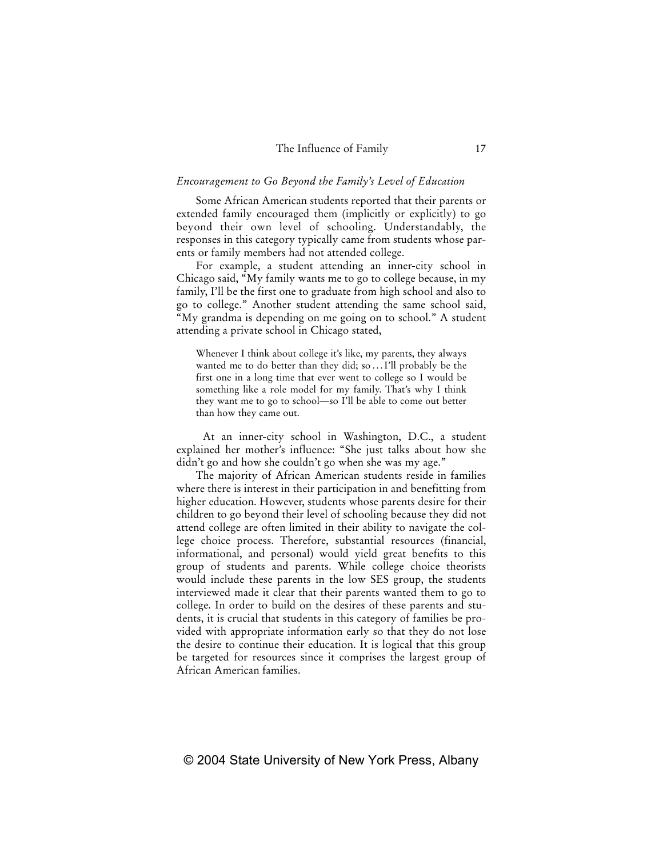#### *Encouragement to Go Beyond the Family's Level of Education*

Some African American students reported that their parents or extended family encouraged them (implicitly or explicitly) to go beyond their own level of schooling. Understandably, the responses in this category typically came from students whose parents or family members had not attended college.

For example, a student attending an inner-city school in Chicago said, "My family wants me to go to college because, in my family, I'll be the first one to graduate from high school and also to go to college." Another student attending the same school said, "My grandma is depending on me going on to school." A student attending a private school in Chicago stated,

Whenever I think about college it's like, my parents, they always wanted me to do better than they did; so...I'll probably be the first one in a long time that ever went to college so I would be something like a role model for my family. That's why I think they want me to go to school—so I'll be able to come out better than how they came out.

At an inner-city school in Washington, D.C., a student explained her mother's influence: "She just talks about how she didn't go and how she couldn't go when she was my age."

The majority of African American students reside in families where there is interest in their participation in and benefitting from higher education. However, students whose parents desire for their children to go beyond their level of schooling because they did not attend college are often limited in their ability to navigate the college choice process. Therefore, substantial resources (financial, informational, and personal) would yield great benefits to this group of students and parents. While college choice theorists would include these parents in the low SES group, the students interviewed made it clear that their parents wanted them to go to college. In order to build on the desires of these parents and students, it is crucial that students in this category of families be provided with appropriate information early so that they do not lose the desire to continue their education. It is logical that this group be targeted for resources since it comprises the largest group of African American families.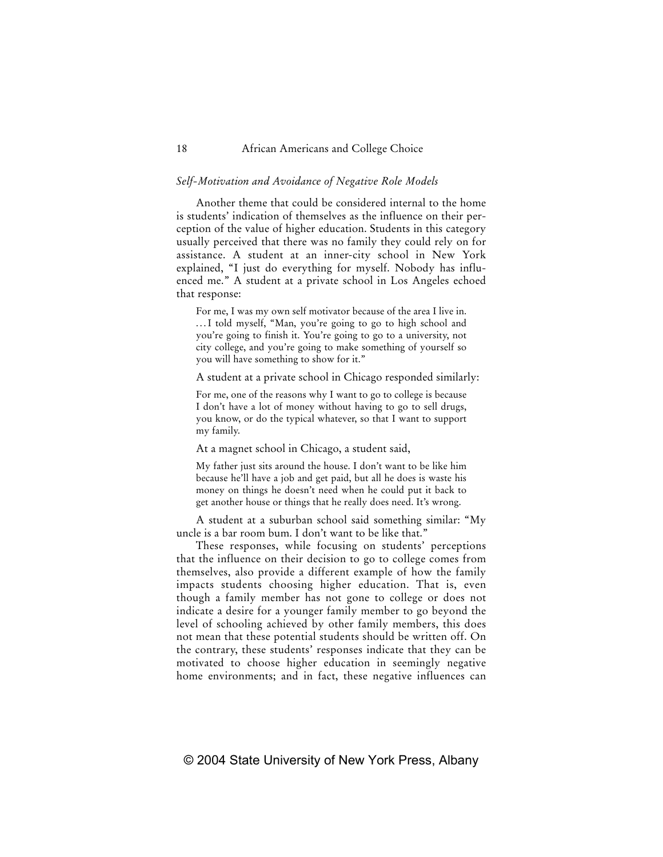## *Self-Motivation and Avoidance of Negative Role Models*

Another theme that could be considered internal to the home is students' indication of themselves as the influence on their perception of the value of higher education. Students in this category usually perceived that there was no family they could rely on for assistance. A student at an inner-city school in New York explained, "I just do everything for myself. Nobody has influenced me." A student at a private school in Los Angeles echoed that response:

For me, I was my own self motivator because of the area I live in. . . . I told myself, "Man, you're going to go to high school and you're going to finish it. You're going to go to a university, not city college, and you're going to make something of yourself so you will have something to show for it."

A student at a private school in Chicago responded similarly:

For me, one of the reasons why I want to go to college is because I don't have a lot of money without having to go to sell drugs, you know, or do the typical whatever, so that I want to support my family.

At a magnet school in Chicago, a student said,

My father just sits around the house. I don't want to be like him because he'll have a job and get paid, but all he does is waste his money on things he doesn't need when he could put it back to get another house or things that he really does need. It's wrong.

A student at a suburban school said something similar: "My uncle is a bar room bum. I don't want to be like that."

These responses, while focusing on students' perceptions that the influence on their decision to go to college comes from themselves, also provide a different example of how the family impacts students choosing higher education. That is, even though a family member has not gone to college or does not indicate a desire for a younger family member to go beyond the level of schooling achieved by other family members, this does not mean that these potential students should be written off. On the contrary, these students' responses indicate that they can be motivated to choose higher education in seemingly negative home environments; and in fact, these negative influences can

© 2004 State University of New York Press, Albany